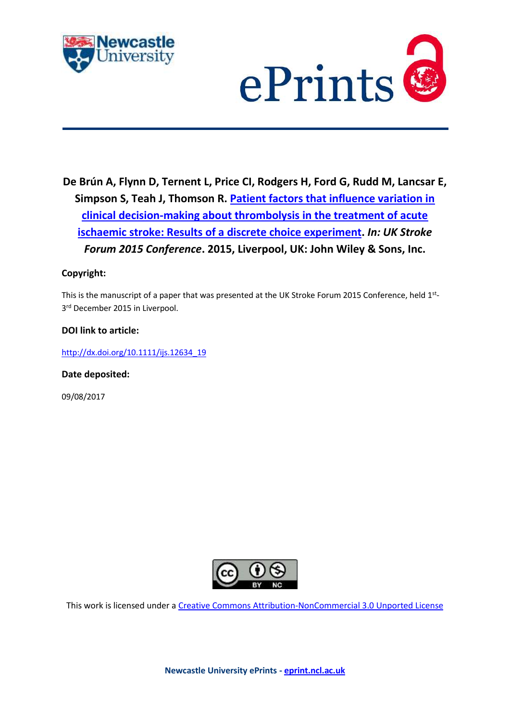



**De Brún A, Flynn D, Ternent L, Price CI, Rodgers H, Ford G, Rudd M, Lancsar E, Simpson S, Teah J, Thomson R. [Patient factors that influence variation in](https://myimpact.ncl.ac.uk/ViewPublication.aspx?id=217814)  [clinical decision-making about thrombolysis in the treatment of acute](https://myimpact.ncl.ac.uk/ViewPublication.aspx?id=217814)  [ischaemic stroke: Results of a discrete choice experiment.](https://myimpact.ncl.ac.uk/ViewPublication.aspx?id=217814)** *In: UK Stroke Forum 2015 Conference***. 2015, Liverpool, UK: John Wiley & Sons, Inc.**

# **Copyright:**

This is the manuscript of a paper that was presented at the UK Stroke Forum 2015 Conference, held 1<sup>st</sup>-3 rd December 2015 in Liverpool.

## **DOI link to article:**

[http://dx.doi.org/10.1111/ijs.12634\\_19](http://dx.doi.org/10.1111/ijs.12634_19)

**Date deposited:** 

09/08/2017



This work is licensed under a [Creative Commons Attribution-NonCommercial 3.0 Unported License](http://creativecommons.org/licenses/by-nc/3.0/deed.en_GB)

**Newcastle University ePrints - [eprint.ncl.ac.uk](http://eprint.ncl.ac.uk/)**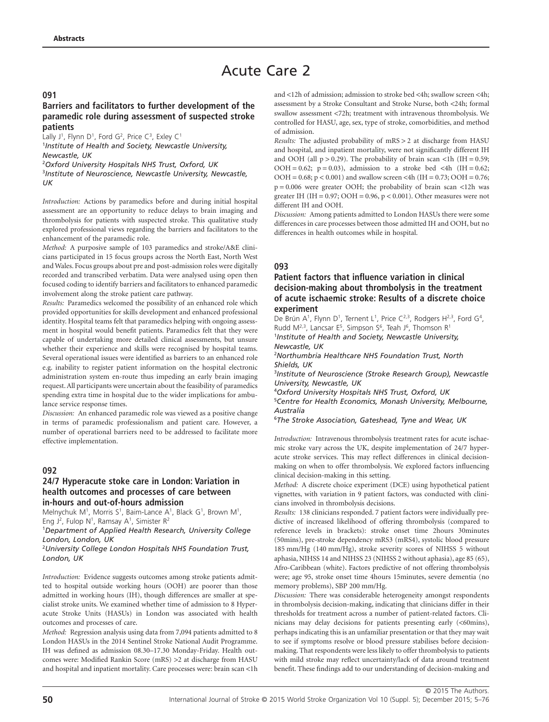# Acute Care 2

#### **091**

#### **Barriers and facilitators to further development of the paramedic role during assessment of suspected stroke patients**

Lally J<sup>1</sup>, Flynn D<sup>1</sup>, Ford G<sup>2</sup>, Price C<sup>3</sup>, Exley C<sup>1</sup> 1 *Institute of Health and Society, Newcastle University, Newcastle, UK* 2 *Oxford University Hospitals NHS Trust, Oxford, UK*

3 *Institute of Neuroscience, Newcastle University, Newcastle, UK*

*Introduction:* Actions by paramedics before and during initial hospital assessment are an opportunity to reduce delays to brain imaging and thrombolysis for patients with suspected stroke. This qualitative study explored professional views regarding the barriers and facilitators to the enhancement of the paramedic role.

*Method:* A purposive sample of 103 paramedics and stroke/A&E clinicians participated in 15 focus groups across the North East, North West and Wales. Focus groups about pre and post-admission roles were digitally recorded and transcribed verbatim. Data were analysed using open then focused coding to identify barriers and facilitators to enhanced paramedic involvement along the stroke patient care pathway.

*Results:* Paramedics welcomed the possibility of an enhanced role which provided opportunities for skills development and enhanced professional identity. Hospital teams felt that paramedics helping with ongoing assessment in hospital would benefit patients. Paramedics felt that they were capable of undertaking more detailed clinical assessments, but unsure whether their experience and skills were recognised by hospital teams. Several operational issues were identified as barriers to an enhanced role e.g. inability to register patient information on the hospital electronic administration system en-route thus impeding an early brain imaging request. All participants were uncertain about the feasibility of paramedics spending extra time in hospital due to the wider implications for ambulance service response times.

*Discussion:* An enhanced paramedic role was viewed as a positive change in terms of paramedic professionalism and patient care. However, a number of operational barriers need to be addressed to facilitate more effective implementation.

## **092**

## **24/7 Hyperacute stoke care in London: Variation in health outcomes and processes of care between in-hours and out-of-hours admission**

Melnychuk M<sup>1</sup>, Morris S<sup>1</sup>, Baim-Lance A<sup>1</sup>, Black G<sup>1</sup>, Brown M<sup>1</sup>, Eng  $J^2$ , Fulop N<sup>1</sup>, Ramsay A<sup>1</sup>, Simister R<sup>2</sup>

1 *Department of Applied Health Research, University College London, London, UK*

2 *University College London Hospitals NHS Foundation Trust, London, UK*

*Introduction:* Evidence suggests outcomes among stroke patients admitted to hospital outside working hours (OOH) are poorer than those admitted in working hours (IH), though differences are smaller at specialist stroke units. We examined whether time of admission to 8 Hyperacute Stroke Units (HASUs) in London was associated with health outcomes and processes of care.

*Method:* Regression analysis using data from 7,094 patients admitted to 8 London HASUs in the 2014 Sentinel Stroke National Audit Programme. IH was defined as admission 08.30–17.30 Monday-Friday. Health outcomes were: Modified Rankin Score (mRS) >2 at discharge from HASU and hospital and inpatient mortality. Care processes were: brain scan <1h

and <12h of admission; admission to stroke bed <4h; swallow screen <4h; assessment by a Stroke Consultant and Stroke Nurse, both <24h; formal swallow assessment <72h; treatment with intravenous thrombolysis. We controlled for HASU, age, sex, type of stroke, comorbidities, and method of admission.

*Results:* The adjusted probability of mRS > 2 at discharge from HASU and hospital, and inpatient mortality, were not significantly different IH and OOH (all  $p > 0.29$ ). The probability of brain scan <1h (IH = 0.59; OOH = 0.62;  $p = 0.03$ ), admission to a stroke bed <4h (IH = 0.62; OOH =  $0.68$ ; p <  $0.001$ ) and swallow screen <4h (IH =  $0.73$ ; OOH =  $0.76$ ;  $p = 0.006$  were greater OOH; the probability of brain scan <12h was greater IH (IH =  $0.97$ ; OOH =  $0.96$ ,  $p < 0.001$ ). Other measures were not different IH and OOH.

*Discussion:* Among patients admitted to London HASUs there were some differences in care processes between those admitted IH and OOH, but no differences in health outcomes while in hospital.

#### **093**

#### **Patient factors that influence variation in clinical decision-making about thrombolysis in the treatment of acute ischaemic stroke: Results of a discrete choice experiment**

De Brún A<sup>1</sup>, Flynn D<sup>1</sup>, Ternent L<sup>1</sup>, Price C<sup>2,3</sup>, Rodgers H<sup>2,3</sup>, Ford G<sup>4</sup>, Rudd  $M^{2,3}$ , Lancsar E<sup>5</sup>, Simpson S<sup>6</sup>, Teah J<sup>6</sup>, Thomson R<sup>1</sup>

1 *Institute of Health and Society, Newcastle University, Newcastle, UK*

2 *Northumbria Healthcare NHS Foundation Trust, North Shields, UK*

3 *Institute of Neuroscience (Stroke Research Group), Newcastle University, Newcastle, UK*

4 *Oxford University Hospitals NHS Trust, Oxford, UK*

5 *Centre for Health Economics, Monash University, Melbourne, Australia*

6 *The Stroke Association, Gateshead, Tyne and Wear, UK*

*Introduction:* Intravenous thrombolysis treatment rates for acute ischaemic stroke vary across the UK, despite implementation of 24/7 hyperacute stroke services. This may reflect differences in clinical decisionmaking on when to offer thrombolysis. We explored factors influencing clinical decision-making in this setting.

*Method:* A discrete choice experiment (DCE) using hypothetical patient vignettes, with variation in 9 patient factors, was conducted with clinicians involved in thrombolysis decisions.

*Results:* 138 clinicians responded. 7 patient factors were individually predictive of increased likelihood of offering thrombolysis (compared to reference levels in brackets): stroke onset time 2hours 30minutes (50mins), pre-stroke dependency mRS3 (mRS4), systolic blood pressure 185 mm/Hg (140 mm/Hg), stroke severity scores of NIHSS 5 without aphasia, NIHSS 14 and NIHSS 23 (NIHSS 2 without aphasia), age 85 (65), Afro-Caribbean (white). Factors predictive of not offering thrombolysis were; age 95, stroke onset time 4hours 15minutes, severe dementia (no memory problems), SBP 200 mm/Hg.

*Discussion:* There was considerable heterogeneity amongst respondents in thrombolysis decision-making, indicating that clinicians differ in their thresholds for treatment across a number of patient-related factors. Clinicians may delay decisions for patients presenting early (<60mins), perhaps indicating this is an unfamiliar presentation or that they may wait to see if symptoms resolve or blood pressure stabilises before decisionmaking. That respondents were less likely to offer thrombolysis to patients with mild stroke may reflect uncertainty/lack of data around treatment benefit. These findings add to our understanding of decision-making and